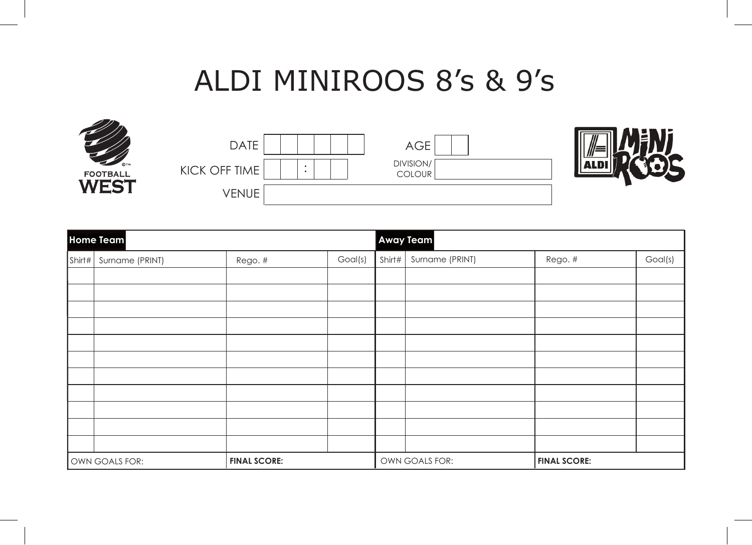## ALDI MINIROOS 8's & 9's





| Home Team      |                 |                     |         | Away Team      |                 |                     |         |
|----------------|-----------------|---------------------|---------|----------------|-----------------|---------------------|---------|
| Shirt#         | Surname (PRINT) | Rego. #             | Goal(s) | Shirt# $ $     | Surname (PRINT) | Rego. #             | Goal(s) |
|                |                 |                     |         |                |                 |                     |         |
|                |                 |                     |         |                |                 |                     |         |
|                |                 |                     |         |                |                 |                     |         |
|                |                 |                     |         |                |                 |                     |         |
|                |                 |                     |         |                |                 |                     |         |
|                |                 |                     |         |                |                 |                     |         |
|                |                 |                     |         |                |                 |                     |         |
|                |                 |                     |         |                |                 |                     |         |
|                |                 |                     |         |                |                 |                     |         |
|                |                 |                     |         |                |                 |                     |         |
|                |                 |                     |         |                |                 |                     |         |
| OWN GOALS FOR: |                 | <b>FINAL SCORE:</b> |         | OWN GOALS FOR: |                 | <b>FINAL SCORE:</b> |         |